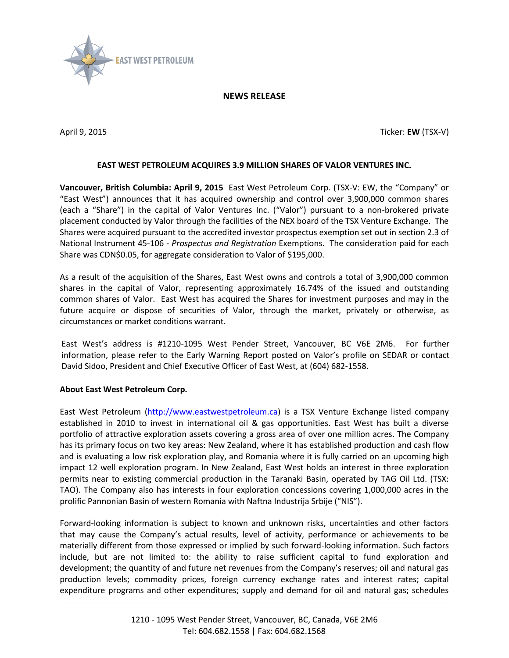

## **NEWS RELEASE**

April 9, 2015 Ticker: **EW** (TSX-V)

## **EAST WEST PETROLEUM ACQUIRES 3.9 MILLION SHARES OF VALOR VENTURES INC.**

**Vancouver, British Columbia: April 9, 2015** East West Petroleum Corp. (TSX-V: EW, the "Company" or "East West") announces that it has acquired ownership and control over 3,900,000 common shares (each a "Share") in the capital of Valor Ventures Inc. ("Valor") pursuant to a non-brokered private placement conducted by Valor through the facilities of the NEX board of the TSX Venture Exchange. The Shares were acquired pursuant to the accredited investor prospectus exemption set out in section 2.3 of National Instrument 45-106 - *Prospectus and Registration* Exemptions. The consideration paid for each Share was CDN\$0.05, for aggregate consideration to Valor of \$195,000.

As a result of the acquisition of the Shares, East West owns and controls a total of 3,900,000 common shares in the capital of Valor, representing approximately 16.74% of the issued and outstanding common shares of Valor. East West has acquired the Shares for investment purposes and may in the future acquire or dispose of securities of Valor, through the market, privately or otherwise, as circumstances or market conditions warrant.

East West's address is #1210-1095 West Pender Street, Vancouver, BC V6E 2M6. For further information, please refer to the Early Warning Report posted on Valor's profile on SEDAR or contact David Sidoo, President and Chief Executive Officer of East West, at (604) 682-1558.

## **About East West Petroleum Corp.**

East West Petroleum [\(http://www.eastwestpetroleum.ca\)](http://www.eastwestpetroleum.ca/) is a TSX Venture Exchange listed company established in 2010 to invest in international oil & gas opportunities. East West has built a diverse portfolio of attractive exploration assets covering a gross area of over one million acres. The Company has its primary focus on two key areas: New Zealand, where it has established production and cash flow and is evaluating a low risk exploration play, and Romania where it is fully carried on an upcoming high impact 12 well exploration program. In New Zealand, East West holds an interest in three exploration permits near to existing commercial production in the Taranaki Basin, operated by TAG Oil Ltd. (TSX: TAO). The Company also has interests in four exploration concessions covering 1,000,000 acres in the prolific Pannonian Basin of western Romania with Naftna Industrija Srbije ("NIS").

Forward-looking information is subject to known and unknown risks, uncertainties and other factors that may cause the Company's actual results, level of activity, performance or achievements to be materially different from those expressed or implied by such forward-looking information. Such factors include, but are not limited to: the ability to raise sufficient capital to fund exploration and development; the quantity of and future net revenues from the Company's reserves; oil and natural gas production levels; commodity prices, foreign currency exchange rates and interest rates; capital expenditure programs and other expenditures; supply and demand for oil and natural gas; schedules